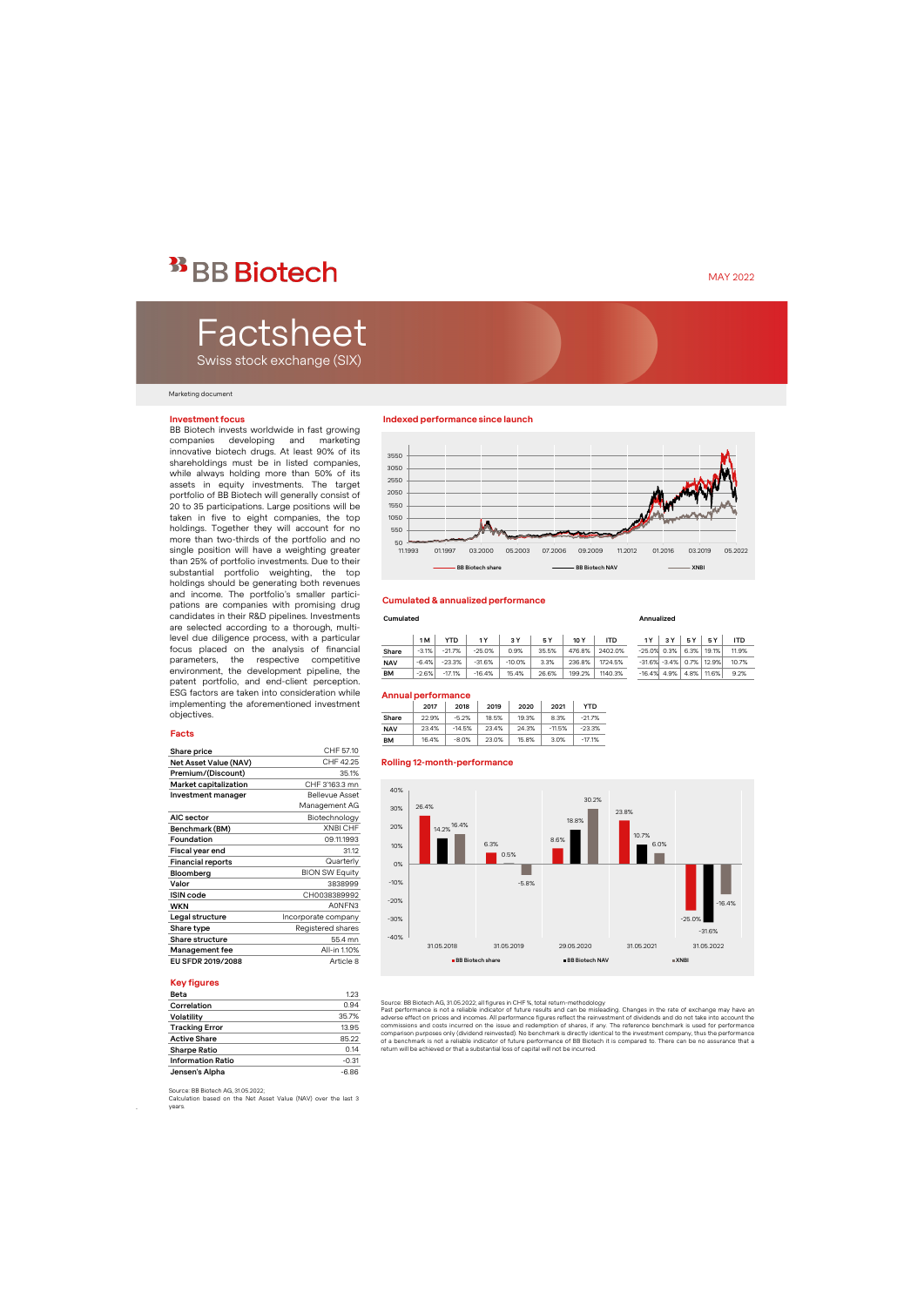## <sup>33</sup> BB Biotech

# Factsheet

Swiss stock exchange (SIX)

#### Marketing document

#### **Investment focus**

BB Biotech invests worldwide in fast growing companies developing and marketing innovative biotech drugs. At least 90% of its shareholdings must be in listed companies, while always holding more than 50% of its assets in equity investments. The target portfolio of BB Biotech will generally consist of 20 to 35 participations. Large positions will be taken in five to eight companies, the top holdings. Together they will account for no more than two-thirds of the portfolio and no single position will have a weighting greater than 25% of portfolio investments. Due to their substantial portfolio weighting, the top holdings should be generating both revenues and income. The portfolio's smaller participations are companies with promising drug candidates in their R&D pipelines. Investments are selected according to a thorough, multilevel due diligence process, with a particular focus placed on the analysis of financial parameters, the respective competitive environment, the development pipeline, the patent portfolio, and end-client perception. ESG factors are taken into consideration while implementing the aforementioned investment objectives.

#### **Facts**

| Share price              | CHF 57.10             |
|--------------------------|-----------------------|
| Net Asset Value (NAV)    | CHF 42.25             |
| Premium/(Discount)       | 35.1%                 |
| Market capitalization    | CHF 3'163.3 mn        |
| Investment manager       | <b>Bellevue Asset</b> |
|                          | Management AG         |
| AIC sector               | Biotechnology         |
| Benchmark (BM)           | <b>XNBI CHF</b>       |
| Foundation               | 09.11.1993            |
| Fiscal year end          | 31.12                 |
| <b>Financial reports</b> | Quarterly             |
| Bloomberg                | <b>BION SW Equity</b> |
| Valor                    | 3838999               |
| <b>ISIN</b> code         | CH0038389992          |
| <b>WKN</b>               | A0NFN3                |
| Legal structure          | Incorporate company   |
| Share type               | Registered shares     |
| Share structure          | 55.4 mn               |
| Management fee           | All-in 1.10%          |
| EU SFDR 2019/2088        | Article 8             |

#### **Key figures**

.

| Beta                     | 1.23    |
|--------------------------|---------|
| Correlation              | 0.94    |
| Volatility               | 35.7%   |
| <b>Tracking Error</b>    | 13.95   |
| <b>Active Share</b>      | 85.22   |
| <b>Sharpe Ratio</b>      | 0.14    |
| <b>Information Ratio</b> | $-0.31$ |
| Jensen's Alpha           | $-6.86$ |

### **Indexed performance since launch**



#### **Cumulated & annualized performance**

#### **Cumulated Annualized**

|            | 1 M     | YTD      |          | 3 Y      | 5 Y   | 10 Y   | <b>ITD</b> |                | 3 Y | 5 Y  | 5 Y                         | <b>ITD</b> |
|------------|---------|----------|----------|----------|-------|--------|------------|----------------|-----|------|-----------------------------|------------|
| Share      | $-3.1%$ | $-21.7%$ | $-25.0%$ | 0.9%     | 35.5% | 476.8% | 2402.0%    | $-25.0\%$ 0.3% |     | 6.3% | 19.1%                       | 11.9%      |
| <b>NAV</b> | $-6.4%$ | $-23.3%$ | $-31.6%$ | $-10.0%$ | 3.3%  | 236.8% | 1724.5%    |                |     |      | $-31.6\% -3.4\%$ 0.7% 12.9% | 10.7%      |
| <b>BM</b>  | $-2.6%$ | $-17.1%$ | $-16.4%$ | 15.4%    | 26.6% | 199.2% | 1140.3%    | $-16.4\%$ 4.9% |     |      | 4.8% 11.6%                  | 9.2%       |

#### **Annual performance**

|            | 2017  | 2018     | 2019  | 2020  | 2021     | YTD      |
|------------|-------|----------|-------|-------|----------|----------|
| Share      | 22.9% | $-5.2%$  | 18.5% | 19.3% | 8.3%     | $-21.7%$ |
| <b>NAV</b> | 23.4% | $-14.5%$ | 23.4% | 24.3% | $-11.5%$ | $-23.3%$ |
| <b>BM</b>  | 16.4% | $-8.0%$  | 23.0% | 15.8% | 3.0%     | $-17.1%$ |





Source: BB Biotech AG, 31.05.2022; all figures in CHF %, total return-methodology

Past performance is not a reliable indicator of future results and can be misleading. Changes in the rate of exchange may have an<br>adverse effect on prices and incomes. All performance figures reflect the reinvestment of di commissions and costs incurred on the issue and redemption of shares, if any. The reference benchmark is used for performance<br>comparison purposes only (dividend reinvested). No benchmark is directly identical to the invest of a benchmark is not a reliable indicator of future performance of BB Biotech it is compared to. There can be no assurance that a return will be achieved or that a substantial loss of capital will not be incurred.

Calculation based on the Net Asset Value (NAV) over the last 3 years.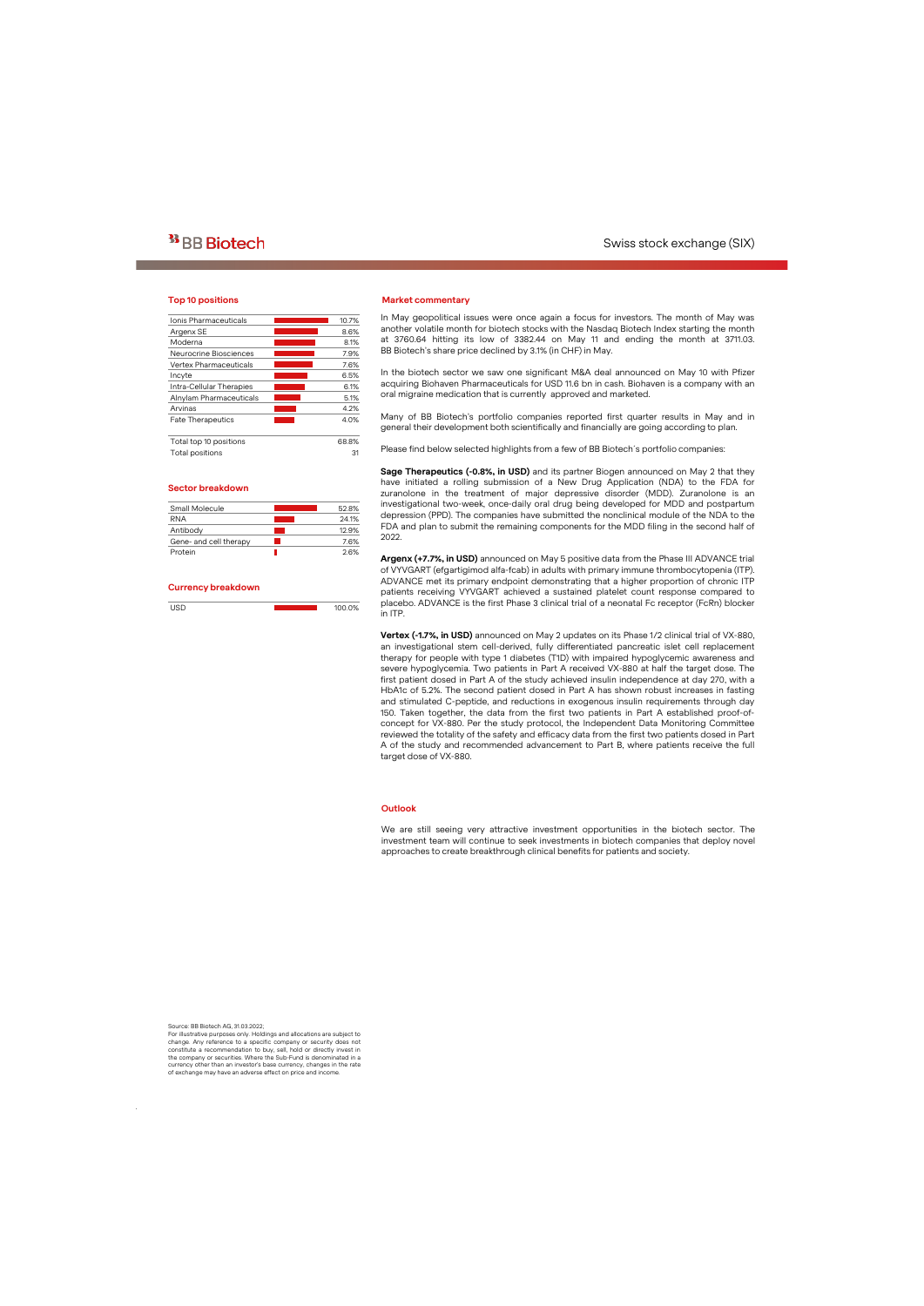#### **Top 10 positions**

| Ionis Pharmaceuticals         | 10.7% |
|-------------------------------|-------|
| Argenx SE                     | 8.6%  |
| Moderna                       | 8.1%  |
| Neurocrine Biosciences        | 7.9%  |
| <b>Vertex Pharmaceuticals</b> | 7.6%  |
| Incyte                        | 6.5%  |
| Intra-Cellular Therapies      | 6.1%  |
| Alnylam Pharmaceuticals       | 5.1%  |
| Arvinas                       | 4.2%  |
| <b>Fate Therapeutics</b>      | 4.0%  |
| Total top 10 positions        | 68.8% |
| Total positions               | 31    |

#### **Sector breakdown**

| Small Molecule         | 52.8% |
|------------------------|-------|
| <b>RNA</b>             | 24.1% |
| Antibody               | 12.9% |
| Gene- and cell therapy | 76%   |
| Protein                | 26%   |
|                        |       |

#### **Currency breakdown**

| $\sim$ $-$ | 100.0% |
|------------|--------|

#### **Market commentary**

In May geopolitical issues were once again a focus for investors. The month of May was another volatile month for biotech stocks with the Nasdaq Biotech Index starting the month at 3760.64 hitting its low of 3382.44 on May 11 and ending the month at 3711.03. BB Biotech's share price declined by 3.1% (in CHF) in May.

In the biotech sector we saw one significant M&A deal announced on May 10 with Pfizer acquiring Biohaven Pharmaceuticals for USD 11.6 bn in cash. Biohaven is a company with an oral migraine medication that is currently approved and marketed.

Many of BB Biotech's portfolio companies reported first quarter results in May and in general their development both scientifically and financially are going according to plan.

Please find below selected highlights from a few of BB Biotech´s portfolio companies:

**Sage Therapeutics (-0.8%, in USD)** and its partner Biogen announced on May 2 that they have initiated a rolling submission of a New Drug Application (NDA) to the FDA for zuranolone in the treatment of major depressive disorder (MDD). Zuranolone is an investigational two-week, once-daily oral drug being developed for MDD and postpartum depression (PPD). The companies have submitted the nonclinical module of the NDA to the FDA and plan to submit the remaining components for the MDD filing in the second half of 2022.

**Argenx (+7.7%, in USD)** announced on May 5 positive data from the Phase III ADVANCE trial of VYVGART (efgartigimod alfa-fcab) in adults with primary immune thrombocytopenia (ITP). ADVANCE met its primary endpoint demonstrating that a higher proportion of chronic ITP patients receiving VYVGART achieved a sustained platelet count response compared to placebo. ADVANCE is the first Phase 3 clinical trial of a neonatal Fc receptor (FcRn) blocker in ITP.

**Vertex (-1.7%, in USD)** announced on May 2 updates on its Phase 1/2 clinical trial of VX-880, an investigational stem cell-derived, fully differentiated pancreatic islet cell replacement therapy for people with type 1 diabetes (T1D) with impaired hypoglycemic awareness and severe hypoglycemia. Two patients in Part A received VX-880 at half the target dose. The first patient dosed in Part A of the study achieved insulin independence at day 270, with a HbA1c of 5.2%. The second patient dosed in Part A has shown robust increases in fasting and stimulated C-peptide, and reductions in exogenous insulin requirements through day 150. Taken together, the data from the first two patients in Part A established proof-ofconcept for VX-880. Per the study protocol, the Independent Data Monitoring Committee reviewed the totality of the safety and efficacy data from the first two patients dosed in Part A of the study and recommended advancement to Part B, where patients receive the full target dose of VX-880.

#### **Outlook**

We are still seeing very attractive investment opportunities in the biotech sector. The investment team will continue to seek investments in biotech companies that deploy novel approaches to create breakthrough clinical benefits for patients and society.

Source: BB Biotech AG, 31.03.2022;

.

For illustrative purposes only. Holdings and allocations are subject to change. Any reference to a specific company or security does not constitute a recommendation to buy, sell, hold or directly invest in the company or securities. Where the Sub-Fund is denominated in a currency other than an investor's base currency, changes in the rate of exchange may have an adverse effect on price and income.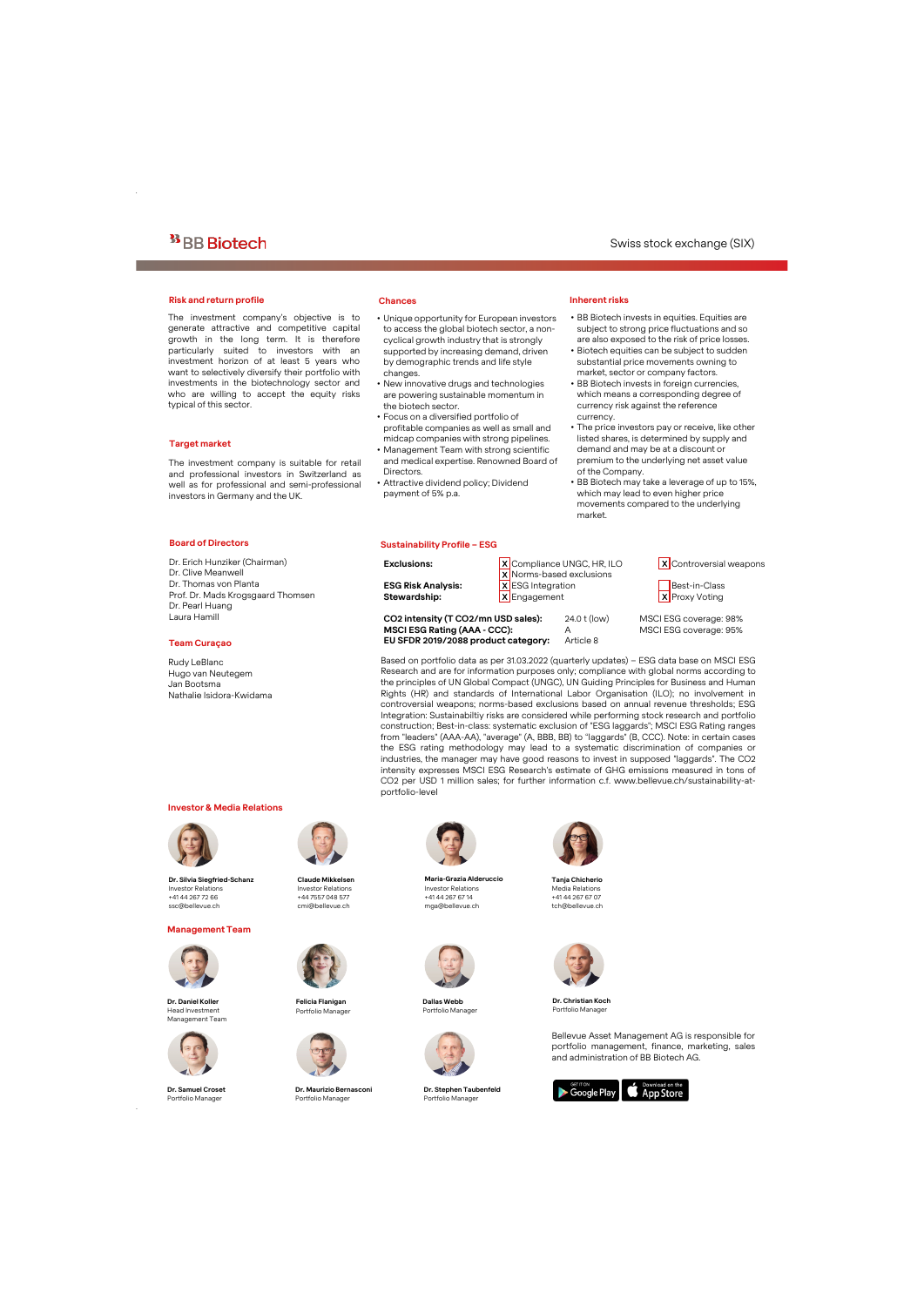#### **Risk and return profile Chances**

The investment company's objective is to generate attractive and competitive capital growth in the long term. It is therefore particularly suited to investors with an investment horizon of at least 5 years who want to selectively diversify their portfolio with investments in the biotechnology sector and who are willing to accept the equity risks typical of this sector.

#### **Target market**

The investment company is suitable for retail and professional investors in Switzerland as well as for professional and semi-professional investors in Germany and the UK.

- Unique opportunity for European investors to access the global biotech sector, a noncyclical growth industry that is strongly supported by increasing demand, driven by demographic trends and life style changes.
- New innovative drugs and technologies are powering sustainable momentum in the biotech sector.
- Focus on a diversified portfolio of profitable companies as well as small and midcap companies with strong pipelines.
- Management Team with strong scientific and medical expertise. Renowned Board of **Directors**

**EU SFDR 2019/2088 product category:** Article 8

• Attractive dividend policy; Dividend payment of 5% p.a.

#### **Sustainability Profile – ESG**

## **Inherent risks**

- BB Biotech invests in equities. Equities are subject to strong price fluctuations and so are also exposed to the risk of price losses.
- Biotech equities can be subject to sudden substantial price movements owning to market, sector or company factors.
- BB Biotech invests in foreign currencies, which means a corresponding degree of currency risk against the reference currency.
- The price investors pay or receive, like other listed shares, is determined by supply and demand and may be at a discount or premium to the underlying net asset value of the Company.
- BB Biotech may take a leverage of up to 15%, which may lead to even higher price movements compared to the underlying market.

#### **Board of Directors**

Dr. Erich Hunziker (Chairman) Dr. Clive Meanwell Dr. Thomas von Planta Prof. Dr. Mads Krogsgaard Thomsen Dr. Pearl Huang Laura Hamill

#### **Team Curaçao**

Rudy LeBlanc Hugo van Neutegem Jan Bootsma Nathalie Isidora-Kwidama

#### **Investor & Media Relations**



**Dr. Silvia Siegfried-Schanz** Investor Relations +41 44 267 72 66 ssc@bellevue.ch

#### **Management Team**



**Dr. Daniel Koller** Head Investment Management Team



**Dr. Samuel Croset** Portfolio Manager

.



**Claude Mikkelsen** Investor Relations +44 7557 048 577 cmi@bellevue.ch



**Felicia Flanigan** Portfolio Manager



**Dr. Maurizio Bernasconi** Portfolio Manager



portfolio-level

**Maria-Grazia Alderuccio** Investor Relations +41 44 267 67 14 mga@bellevue.ch



**Dallas Webb** Portfolio Manager



**Dr. Stephen Taubenfeld** Portfolio Manager



intensity expresses MSCI ESG Research's estimate of GHG emissions measured in tons of CO2 per USD 1 million sales; for further information c.f. www.bellevue.ch/sustainability-at-

**Tanja Chicherio** Media Relations +41 44 267 67 07 tch@bellevue.ch



**Dr. ChristianKoch** Portfolio Manager

Bellevue Asset Management AG is responsible for portfolio management, finance, marketing, sales and administration of BB Biotech AG.



**CO2 intensity (T CO2/mn USD sales):** 24.0 t (low) MSCI ESG coverage: 98%

**Exclusions:** X Compliance UNGC, HR, ILO X Controversial weapons X Norms-based exclusions **ESG Risk Analysis:** X ESG Integration Best-in-Class

**Stewardship:** X Engagement X X Proxy Voting

**MSCI ESG Rating (AAA - CCC):** A MSCI ESG coverage: 95%

Based on portfolio data as per 31.03.2022 (quarterly updates) – ESG data base on MSCI ESG Research and are for information purposes only; compliance with global norms according to the principles of UN Global Compact (UNGC), UN Guiding Principles for Business and Human Rights (HR) and standards of International Labor Organisation (ILO); no involvement in controversial weapons; norms-based exclusions based on annual revenue thresholds; ESG Integration: Sustainabiltiy risks are considered while performing stock research and portfolio construction; Best-in-class: systematic exclusion of "ESG laggards"; MSCI ESG Rating ranges from "leaders" (AAA-AA), "average" (A, BBB, BB) to "laggards" (B, CCC). Note: in certain cases the ESG rating methodology may lead to a systematic discrimination of companies or industries, the manager may have good reasons to invest in supposed "laggards". The CO2